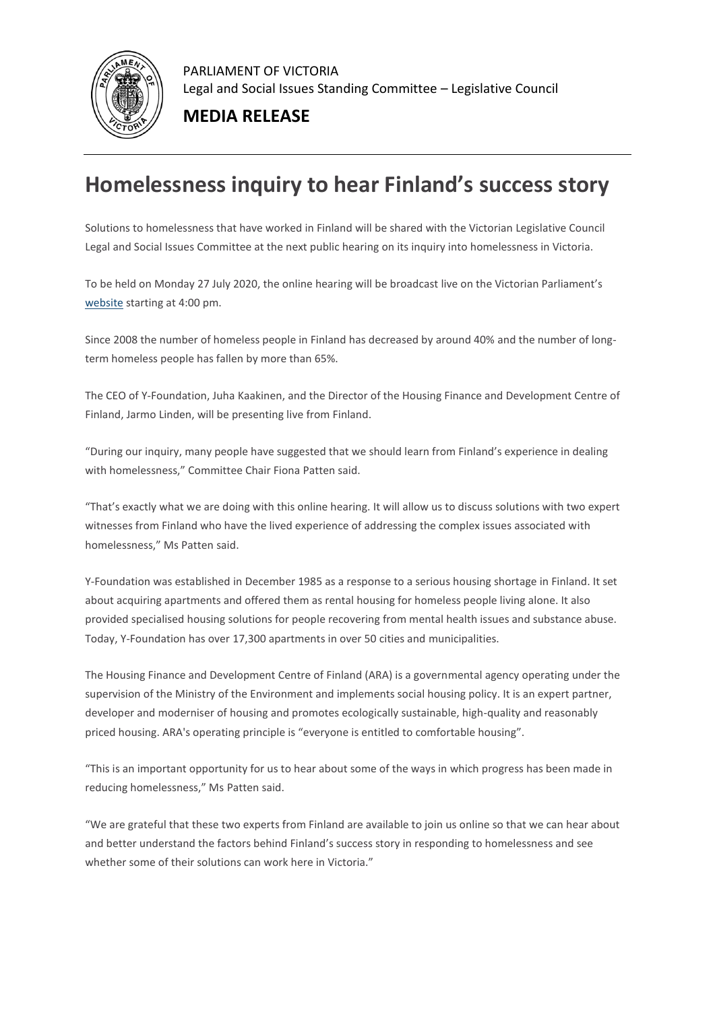

PARLIAMENT OF VICTORIA Legal and Social Issues Standing Committee – Legislative Council

**MEDIA RELEASE**

## **Homelessness inquiry to hear Finland's success story**

Solutions to homelessness that have worked in Finland will be shared with the Victorian Legislative Council Legal and Social Issues Committee at the next public hearing on its inquiry into homelessness in Victoria.

To be held on Monday 27 July 2020, the online hearing will be broadcast live on the Victorian Parliament's [website](https://aus01.safelinks.protection.outlook.com/?url=https%3A%2F%2Fparliamentofvictoria.cmail20.com%2Ft%2Ft-l-pddljjy-hrdrxhyy-r%2F&data=02%7C01%7CEbony.Cousins%40parliament.vic.gov.au%7C5bb8372fc37945f717e808d82eaf092b%7C821af0ec31404137af0e6690286fb673%7C0%7C0%7C637310676597891698&sdata=6MWHZzXaD1Ph4W6OKrOjGKTjBbyAUJbjU6dGXZ%2Bqds8%3D&reserved=0) starting at 4:00 pm.

Since 2008 the number of homeless people in Finland has decreased by around 40% and the number of longterm homeless people has fallen by more than 65%.

The CEO of Y-Foundation, Juha Kaakinen, and the Director of the Housing Finance and Development Centre of Finland, Jarmo Linden, will be presenting live from Finland.

"During our inquiry, many people have suggested that we should learn from Finland's experience in dealing with homelessness," Committee Chair Fiona Patten said.

"That's exactly what we are doing with this online hearing. It will allow us to discuss solutions with two expert witnesses from Finland who have the lived experience of addressing the complex issues associated with homelessness," Ms Patten said.

Y-Foundation was established in December 1985 as a response to a serious housing shortage in Finland. It set about acquiring apartments and offered them as rental housing for homeless people living alone. It also provided specialised housing solutions for people recovering from mental health issues and substance abuse. Today, Y-Foundation has over 17,300 apartments in over 50 cities and municipalities.

The Housing Finance and Development Centre of Finland (ARA) is a governmental agency operating under the supervision of the Ministry of the Environment and implements social housing policy. It is an expert partner, developer and moderniser of housing and promotes ecologically sustainable, high-quality and reasonably priced housing. ARA's operating principle is "everyone is entitled to comfortable housing".

"This is an important opportunity for us to hear about some of the ways in which progress has been made in reducing homelessness," Ms Patten said.

"We are grateful that these two experts from Finland are available to join us online so that we can hear about and better understand the factors behind Finland's success story in responding to homelessness and see whether some of their solutions can work here in Victoria."